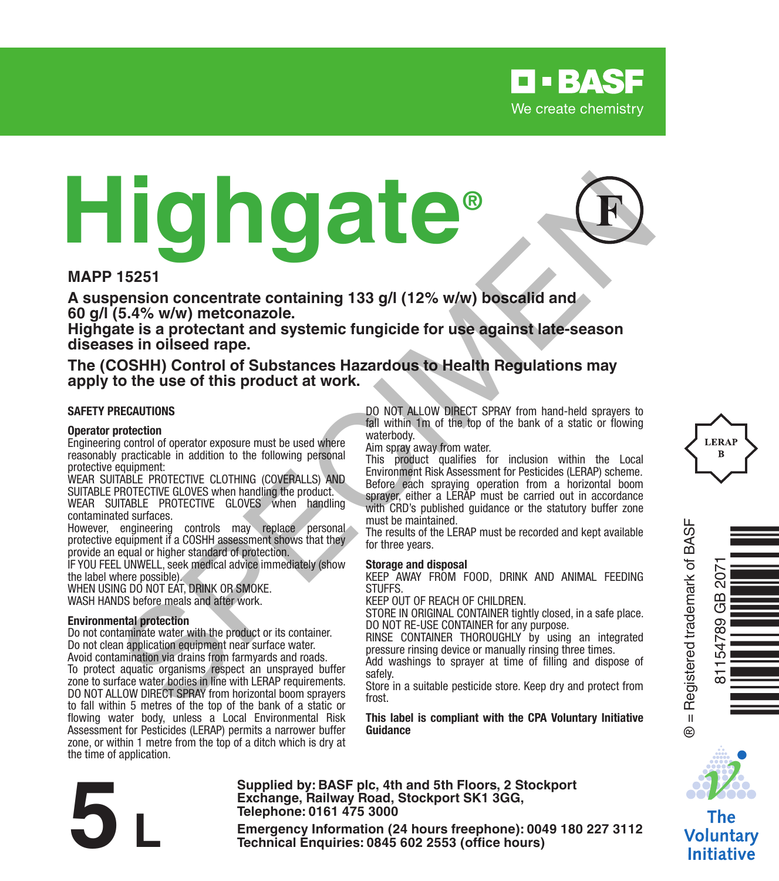

# **Highgate®** 15251<br>
15251<br>
15251<br>
15251<br>
15251<br>
15251<br>
15251<br>
15251<br>
15251<br>
15251<br>
15251<br>
15251<br>
15251<br>
15254<br>
1525 (5.4% w/w) metconazole.<br>
163 aprobable and systemic fungicide for use against late-season<br>
163 application and systemic



**A suspension concentrate containing 133 g/l (12% w/w) boscalid and 60 g/l (5.4% w/w) metconazole.** 

**Highgate is a protectant and systemic fungicide for use against late-season diseases in oilseed rape.**

**The (COSHH) Control of Substances Hazardous to Health Regulations may apply to the use of this product at work.**

#### **SAFETY PRECAUTIONS**

#### **Operator protection**

Engineering control of operator exposure must be used where reasonably practicable in addition to the following personal protective equipment:

WEAR SUITABLE PROTECTIVE CLOTHING (COVERALLS) AND SUITABLE PROTECTIVE GLOVES when handling the product. WEAR SUITABLE PROTECTIVE GLOVES when handling contaminated surfaces.

However, engineering controls may replace personal protective equipment if a COSHH assessment shows that they provide an equal or higher standard of protection.

IF YOU FEEL UNWELL, seek medical advice immediately (show the label where possible).

WHEN USING DO NOT FAT, DRINK OR SMOKE. WASH HANDS before meals and after work.

#### **Environmental protection**

Do not contaminate water with the product or its container. Do not clean application equipment near surface water. Avoid contamination via drains from farmyards and roads. To protect aquatic organisms respect an unsprayed buffer zone to surface water bodies in line with LERAP requirements. DO NOT ALLOW DIRECT SPRAY from horizontal boom sprayers to fall within 5 metres of the top of the bank of a static or flowing water body, unless a Local Environmental Risk Assessment for Pesticides (LERAP) permits a narrower buffer zone, or within 1 metre from the top of a ditch which is dry at the time of application.

DO NOT ALLOW DIRECT SPRAY from hand-held sprayers to fall within 1m of the top of the bank of a static or flowing waterbody.

Aim spray away from water.

This product qualifies for inclusion within the Local Environment Risk Assessment for Pesticides (LERAP) scheme. Before each spraying operation from a horizontal boom sprayer, either a LERAP must be carried out in accordance with CRD's published quidance or the statutory buffer zone must be maintained.

The results of the LERAP must be recorded and kept available for three years.

#### **Storage and disposal**

KEEP AWAY FROM FOOD, DRINK AND ANIMAL FEEDING **STUFFS** 

KEEP OUT OF REACH OF CHILDREN.

STORE IN ORIGINAL CONTAINER tightly closed, in a safe place. DO NOT RE-USE CONTAINER for any purpose.

RINSE CONTAINER THOROUGHLY by using an integrated pressure rinsing device or manually rinsing three times.

Add washings to sprayer at time of filling and dispose of safely.

Store in a suitable pesticide store. Keep dry and protect from frost.

**This label is compliant with the CPA Voluntary Initiative Guidance**



81154789 GB 2071

ΣÚΣ GB 54789 Òq/OyÈÓ

The **Voluntary Initiative** 

**Supplied by: BASF plc, 4th and 5th Floors, 2 Stockport Exchange, Railway Road, Stockport SK1 3GG, Telephone: 0161 475 3000**

Exchange, Rallway Road, Stockport SK1 3GG,<br>
Telephone: 0161 475 3000<br>
Emergency Information (24 hours freephone): 0049 180 227 3112<br>
Technical Enquiries: 0845 602 2553 (office hours)

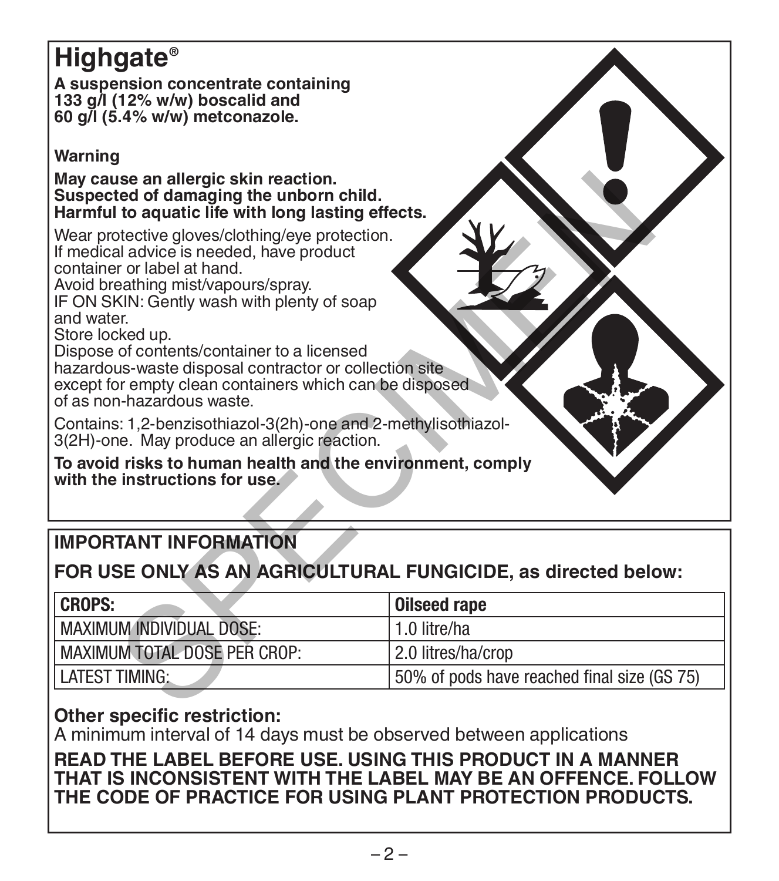# **Highgate®**

**A suspension concentrate containing 133 g/l (12% w/w) boscalid and 60 g/l (5.4% w/w) metconazole.** 

#### **Warning**

**May cause an allergic skin reaction. Suspected of damaging the unborn child. Harmful to aquatic life with long lasting effects.**

# **IMPORTANT INFORMATION**

# **FOR USE ONLY AS AN AGRICULTURAL FUNGICIDE, as directed below:**

| May cause an allergic skin reaction.<br>Suspected of damaging the unborn child.<br>Harmful to aquatic life with long lasting effects.<br>Wear protective gloves/clothing/eye protection.                                                                                                                                                                                                          |                                             |
|---------------------------------------------------------------------------------------------------------------------------------------------------------------------------------------------------------------------------------------------------------------------------------------------------------------------------------------------------------------------------------------------------|---------------------------------------------|
| If medical advice is needed, have product<br>container or label at hand.<br>Avoid breathing mist/vapours/spray.<br>IF ON SKIN: Gently wash with plenty of soap<br>and water<br>Store locked up.<br>Dispose of contents/container to a licensed<br>hazardous-waste disposal contractor or collection site<br>except for empty clean containers which can be disposed<br>of as non-hazardous waste. |                                             |
| Contains: 1,2-benzisothiazol-3(2h)-one and 2-methylisothiazol-<br>3(2H)-one. May produce an allergic reaction.                                                                                                                                                                                                                                                                                    |                                             |
| To avoid risks to human health and the environment, comply<br>with the instructions for use.                                                                                                                                                                                                                                                                                                      |                                             |
|                                                                                                                                                                                                                                                                                                                                                                                                   |                                             |
| <b>IMPORTANT INFORMATION</b>                                                                                                                                                                                                                                                                                                                                                                      |                                             |
| FOR USE ONLY AS AN AGRICULTURAL FUNGICIDE, as directed below:                                                                                                                                                                                                                                                                                                                                     |                                             |
| <b>CROPS:</b>                                                                                                                                                                                                                                                                                                                                                                                     | <b>Oilseed rape</b>                         |
| <b>MAXIMUM INDIVIDUAL DOSE:</b>                                                                                                                                                                                                                                                                                                                                                                   | 1.0 litre/ha                                |
| <b>MAXIMUM TOTAL DOSE PER CROP:</b>                                                                                                                                                                                                                                                                                                                                                               | 2.0 litres/ha/crop                          |
| <b>LATEST TIMING:</b>                                                                                                                                                                                                                                                                                                                                                                             | 50% of pods have reached final size (GS 75) |
|                                                                                                                                                                                                                                                                                                                                                                                                   |                                             |

# **Other specific restriction:**

A minimum interval of 14 days must be observed between applications

**READ THE LABEL BEFORE USE. USING THIS PRODUCT IN A MANNER THAT IS INCONSISTENT WITH THE LABEL MAY BE AN OFFENCE. FOLLOW THE CODE OF PRACTICE FOR USING PLANT PROTECTION PRODUCTS.**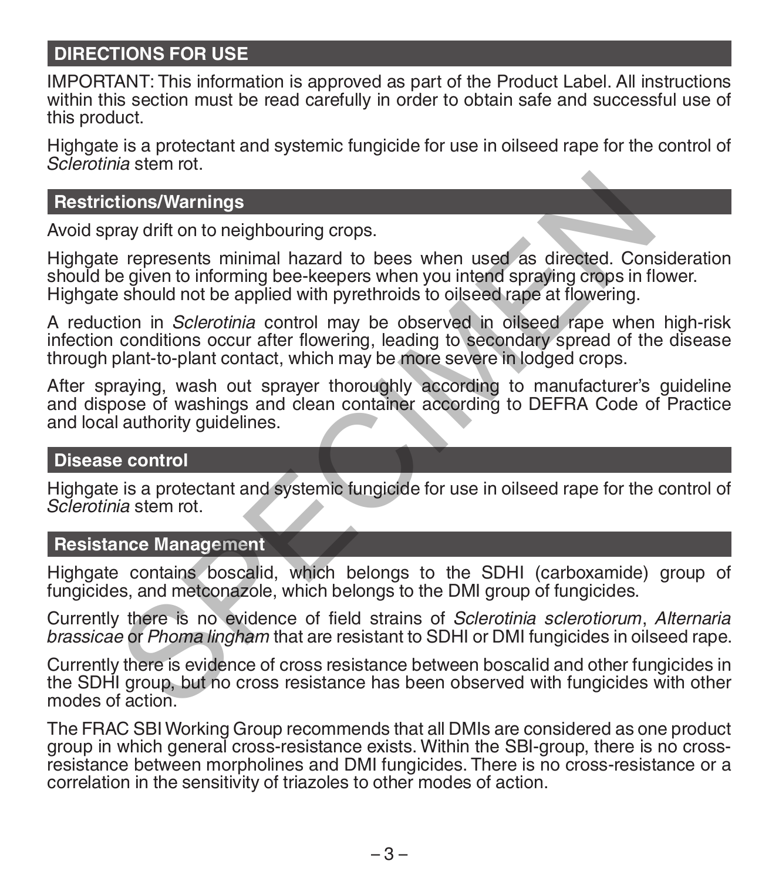# **DIRECTIONS FOR USE**

IMPORTANT: This information is approved as part of the Product Label. All instructions within this section must be read carefully in order to obtain safe and successful use of this product.

Highgate is a protectant and systemic fungicide for use in oilseed rape for the control of *Sclerotinia* stem rot.

#### **Restrictions/Warnings**

Avoid spray drift on to neighbouring crops.

Highgate represents minimal hazard to bees when used as directed. Consideration should be given to informing bee-keepers when you intend spraying crops in flower. Highgate should not be applied with pyrethroids to oilseed rape at flowering.

A reduction in *Sclerotinia* control may be observed in oilseed rape when high-risk infection conditions occur after flowering, leading to secondary spread of the disease through plant-to-plant contact, which may be more severe in lodged crops. tions/Warnings<br>
aray drift on to neighbouring crops.<br>
e represents minimal hazard to bees when used as directed. Cone<br>
given to informing bee-keepers when you intend spraying crops in fi<br>
should not be applied with pyrethr

After spraying, wash out sprayer thoroughly according to manufacturer's guideline and dispose of washings and clean container according to DEFRA Code of Practice and local authority guidelines.

#### **Disease control**

Highgate is a protectant and systemic fungicide for use in oilseed rape for the control of *Sclerotinia* stem rot.

#### **Resistance Management**

Highgate contains boscalid, which belongs to the SDHI (carboxamide) group of fungicides, and metconazole, which belongs to the DMI group of fungicides.

Currently there is no evidence of field strains of *Sclerotinia sclerotiorum*, *Alternaria brassicae* or *Phoma lingham* that are resistant to SDHI or DMI fungicides in oilseed rape.

Currently there is evidence of cross resistance between boscalid and other fungicides in the SDHI group, but no cross resistance has been observed with fungicides with other modes of action.

The FRAC SBI Working Group recommends that all DMIs are considered as one product group in which general cross-resistance exists. Within the SBI-group, there is no crossresistance between morpholines and DMI fungicides. There is no cross-resistance or a correlation in the sensitivity of triazoles to other modes of action.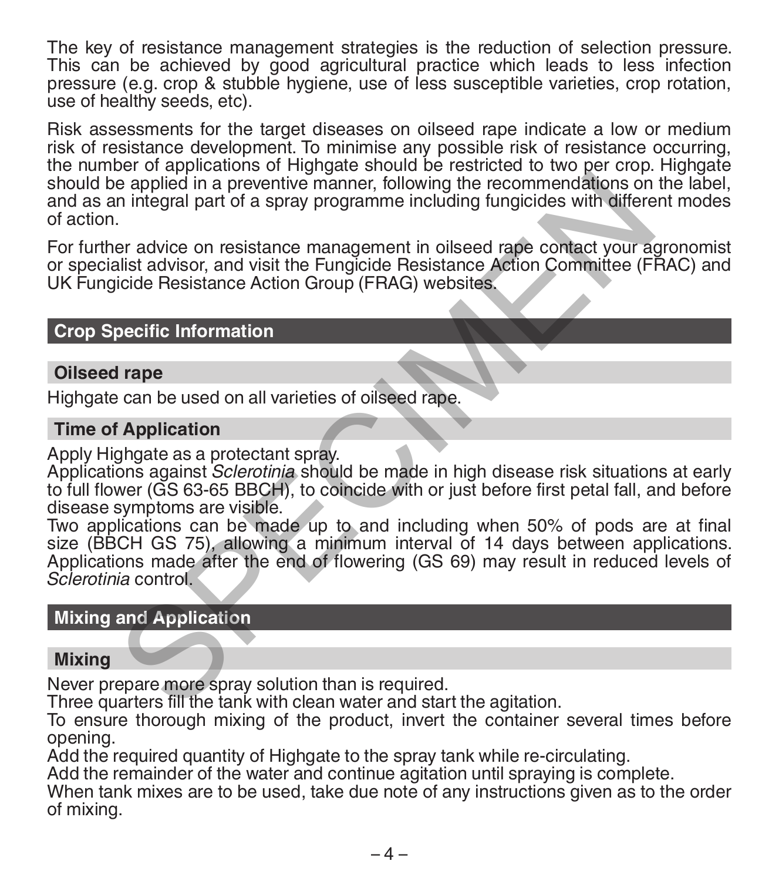The key of resistance management strategies is the reduction of selection pressure. This can be achieved by good agricultural practice which leads to less infection pressure (e.g. crop & stubble hygiene, use of less susceptible varieties, crop rotation, use of healthy seeds, etc).

Risk assessments for the target diseases on oilseed rape indicate a low or medium risk of resistance development. To minimise any possible risk of resistance occurring, the number of applications of Highgate should be restricted to two per crop. Highgate should be applied in a preventive manner, following the recommendations on the label, and as an integral part of a spray programme including fungicides with different modes of action.

For further advice on resistance management in oilseed rape contact your agronomist or specialist advisor, and visit the Fungicide Resistance Action Committee (FRAC) and UK Fungicide Resistance Action Group (FRAG) websites.

#### **Crop Specific Information**

#### **Oilseed rape**

Highgate can be used on all varieties of oilseed rape.

#### **Time of Application**

Apply Highgate as a protectant spray.

Applications against *Sclerotinia* should be made in high disease risk situations at early to full flower (GS 63-65 BBCH), to coincide with or just before first petal fall, and before disease symptoms are visible.

Two applications can be made up to and including when 50% of pods are at final size (BBCH GS 75), allowing a minimum interval of 14 days between applications. Applications made after the end of flowering (GS 69) may result in reduced levels of *Sclerotinia* control. e applied in a preventive manner, following the recommendations on<br>
integral part of a spray programme including fungicides with different<br>
Fr advice on resistance management in oilseed rape contact your as<br>
interferent an

#### **Mixing and Application**

#### **Mixing**

Never prepare more spray solution than is required.

Three quarters fill the tank with clean water and start the agitation.

To ensure thorough mixing of the product, invert the container several times before opening.

Add the required quantity of Highgate to the spray tank while re-circulating.

Add the remainder of the water and continue agitation until spraying is complete.

When tank mixes are to be used, take due note of any instructions given as to the order of mixing.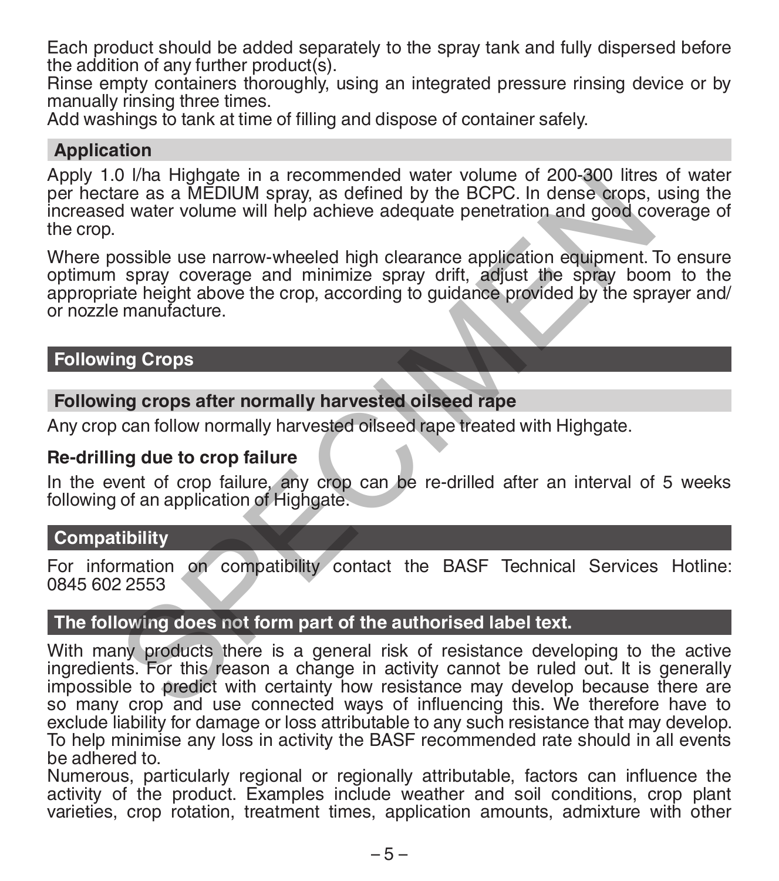Each product should be added separately to the spray tank and fully dispersed before the addition of any further product(s).

Rinse empty containers thoroughly, using an integrated pressure rinsing device or by manually rinsing three times.

Add washings to tank at time of filling and dispose of container safely.

#### **Application**

Apply 1.0 l/ha Highgate in a recommended water volume of 200-300 litres of water per hectare as a MEDIUM spray, as defined by the BCPC. In dense crops, using the increased water volume will help achieve adequate penetration and good coverage of the crop.

Where possible use narrow-wheeled high clearance application equipment. To ensure optimum spray coverage and minimize spray drift, adjust the spray boom to the appropriate height above the crop, according to guidance provided by the sprayer and/ or nozzle manufacture. 0 Vma Higmgate in a recommended water volume of 200-300 litres<br>are as a MEDIUM spray, as defined by the BCPC. In dense crops,<br>d water volume will help achieve adequate penetration and good co<br>ossible use narrow-wheeled hig

# **Following Crops**

#### **Following crops after normally harvested oilseed rape**

Any crop can follow normally harvested oilseed rape treated with Highgate.

#### **Re-drilling due to crop failure**

In the event of crop failure, any crop can be re-drilled after an interval of 5 weeks following of an application of Highgate.

#### **Compatibility**

For information on compatibility contact the BASF Technical Services Hotline: 0845 602 2553

#### **The following does not form part of the authorised label text.**

With many products there is a general risk of resistance developing to the active ingredients. For this reason a change in activity cannot be ruled out. It is generally impossible to predict with certainty how resistance may develop because there are so many crop and use connected ways of influencing this. We therefore have to exclude liability for damage or loss attributable to any such resistance that may develop. To help minimise any loss in activity the BASF recommended rate should in all events be adhered to.

Numerous, particularly regional or regionally attributable, factors can influence the activity of the product. Examples include weather and soil conditions, crop plant varieties, crop rotation, treatment times, application amounts, admixture with other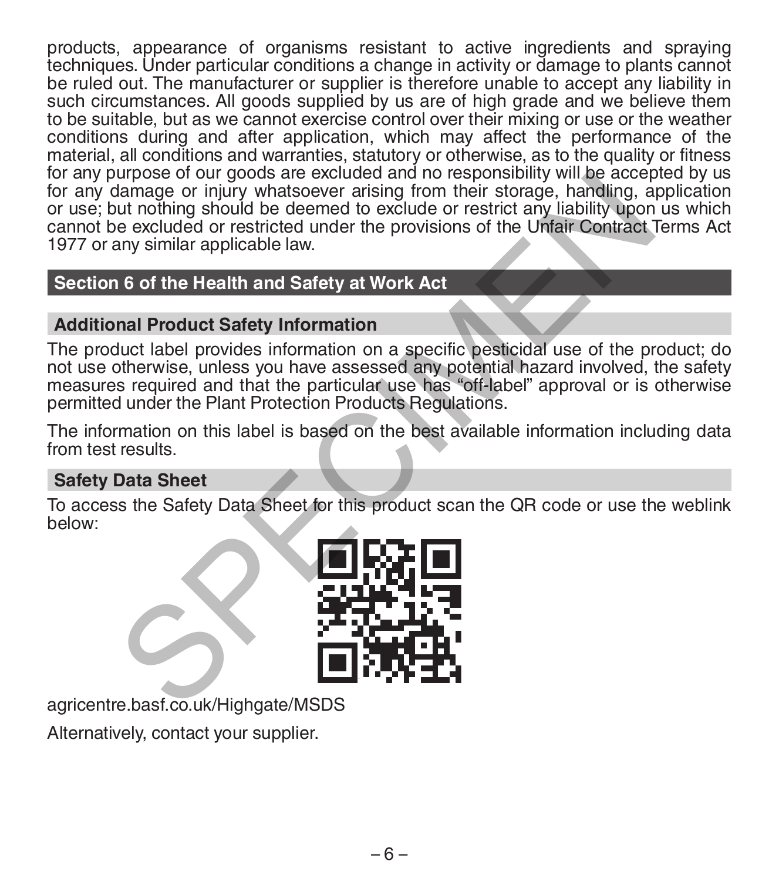products, appearance of organisms resistant to active ingredients and spraying techniques. Under particular conditions a change in activity or damage to plants cannot be ruled out. The manufacturer or supplier is therefore unable to accept any liability in such circumstances. All goods supplied by us are of high grade and we believe them to be suitable, but as we cannot exercise control over their mixing or use or the weather conditions during and after application, which may affect the performance of the material, all conditions and warranties, statutory or otherwise, as to the quality or fitness for any purpose of our goods are excluded and no responsibility will be accepted by us for any damage or injury whatsoever arising from their storage, handling, application or use; but nothing should be deemed to exclude or restrict any liability upon us which cannot be excluded or restricted under the provisions of the Unfair Contract Terms Act 1977 or any similar applicable law. Through the excluded and the sponsor and the excluded and the sponsor and the score of the Unfair Contract<br>damage or injury whatsoever arising from their storage, handling, a<br>ut nothing should be deemed to exclude or restr

# **Section 6 of the Health and Safety at Work Act**

# **Additional Product Safety Information**

The product label provides information on a specific pesticidal use of the product; do not use otherwise, unless you have assessed any potential hazard involved, the safety measures required and that the particular use has "off-label" approval or is otherwise permitted under the Plant Protection Products Regulations.

The information on this label is based on the best available information including data from test results.

### **Safety Data Sheet**

To access the Safety Data Sheet for this product scan the QR code or use the weblink below:



agricentre.basf.co.uk/Highgate/MSDS

Alternatively, contact your supplier.